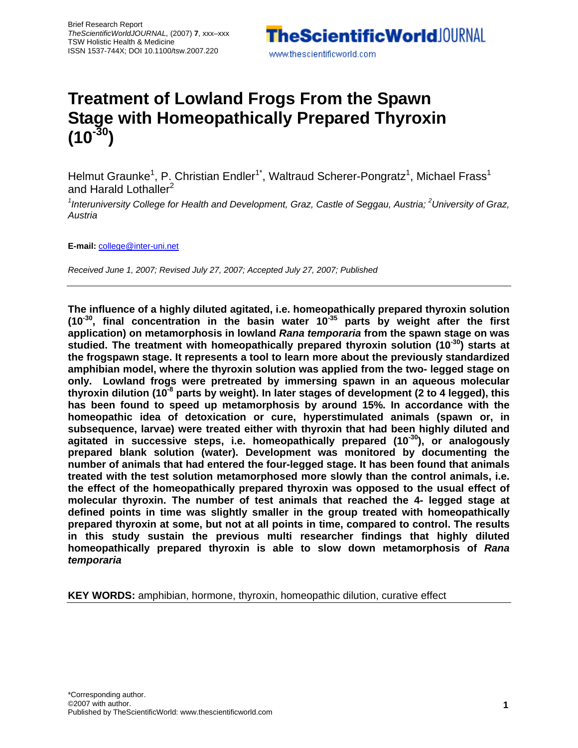

# **Treatment of Lowland Frogs From the Spawn Stage with Homeopathically Prepared Thyroxin**   $(10^{-30})$

Helmut Graunke<sup>1</sup>, P. Christian Endler<sup>1\*</sup>, Waltraud Scherer-Pongratz<sup>1</sup>, Michael Frass<sup>1</sup> and Harald Lothaller<sup>2</sup>

<sup>1</sup>Interuniversity College for Health and Development, Graz, Castle of Seggau, Austria; <sup>2</sup>University of Graz, *Austria* 

**E-mail:** college@inter-uni.net

*Received June 1, 2007; Revised July 27, 2007; Accepted July 27, 2007; Published*

**The influence of a highly diluted agitated, i.e. homeopathically prepared thyroxin solution (10-30, final concentration in the basin water 10-35 parts by weight after the first application) on metamorphosis in lowland** *Rana temporaria* **from the spawn stage on was studied. The treatment with homeopathically prepared thyroxin solution (10-30) starts at the frogspawn stage. It represents a tool to learn more about the previously standardized amphibian model, where the thyroxin solution was applied from the two- legged stage on only. Lowland frogs were pretreated by immersing spawn in an aqueous molecular thyroxin dilution (10-8 parts by weight). In later stages of development (2 to 4 legged), this has been found to speed up metamorphosis by around 15%. In accordance with the homeopathic idea of detoxication or cure, hyperstimulated animals (spawn or, in subsequence, larvae) were treated either with thyroxin that had been highly diluted and agitated in successive steps, i.e. homeopathically prepared (10-30), or analogously prepared blank solution (water). Development was monitored by documenting the number of animals that had entered the four-legged stage. It has been found that animals treated with the test solution metamorphosed more slowly than the control animals, i.e. the effect of the homeopathically prepared thyroxin was opposed to the usual effect of molecular thyroxin. The number of test animals that reached the 4- legged stage at defined points in time was slightly smaller in the group treated with homeopathically prepared thyroxin at some, but not at all points in time, compared to control. The results in this study sustain the previous multi researcher findings that highly diluted homeopathically prepared thyroxin is able to slow down metamorphosis of** *Rana temporaria*

**KEY WORDS:** amphibian, hormone, thyroxin, homeopathic dilution, curative effect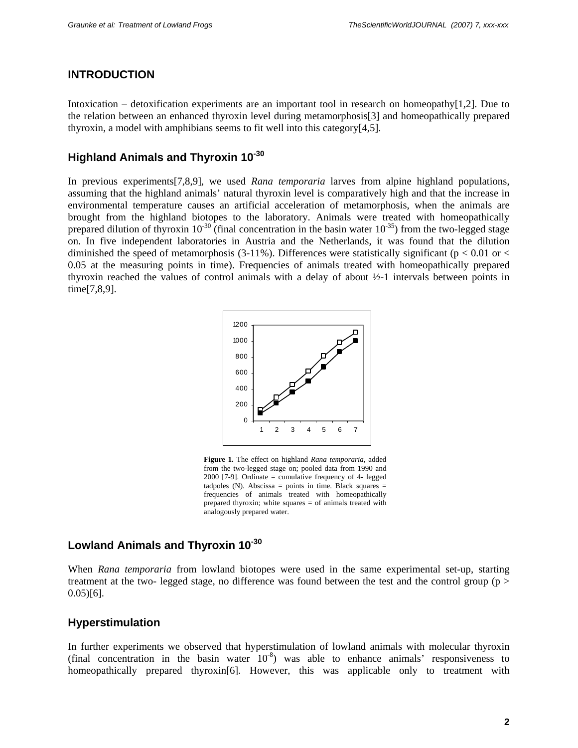#### **INTRODUCTION**

Intoxication – detoxification experiments are an important tool in research on homeopathy[1,2]. Due to the relation between an enhanced thyroxin level during metamorphosis[3] and homeopathically prepared thyroxin, a model with amphibians seems to fit well into this category[4,5].

## **Highland Animals and Thyroxin 10-30**

In previous experiments[7,8,9], we used *Rana temporaria* larves from alpine highland populations, assuming that the highland animals' natural thyroxin level is comparatively high and that the increase in environmental temperature causes an artificial acceleration of metamorphosis, when the animals are brought from the highland biotopes to the laboratory. Animals were treated with homeopathically prepared dilution of thyroxin  $10^{-30}$  (final concentration in the basin water  $10^{-35}$ ) from the two-legged stage on. In five independent laboratories in Austria and the Netherlands, it was found that the dilution diminished the speed of metamorphosis (3-11%). Differences were statistically significant ( $p < 0.01$  or  $<$ 0.05 at the measuring points in time). Frequencies of animals treated with homeopathically prepared thyroxin reached the values of control animals with a delay of about ½-1 intervals between points in time[7,8,9].



**Figure 1.** The effect on highland *Rana temporaria,* added from the two-legged stage on; pooled data from 1990 and 2000 [7-9]. Ordinate = cumulative frequency of 4- legged tadpoles  $(N)$ . Abscissa = points in time. Black squares = frequencies of animals treated with homeopathically prepared thyroxin; white squares = of animals treated with analogously prepared water.

#### **Lowland Animals and Thyroxin 10-30**

When *Rana temporaria* from lowland biotopes were used in the same experimental set-up, starting treatment at the two- legged stage, no difference was found between the test and the control group (p > 0.05)[6].

#### **Hyperstimulation**

In further experiments we observed that hyperstimulation of lowland animals with molecular thyroxin (final concentration in the basin water  $10^{-8}$ ) was able to enhance animals' responsiveness to homeopathically prepared thyroxin<sup>[6]</sup>. However, this was applicable only to treatment with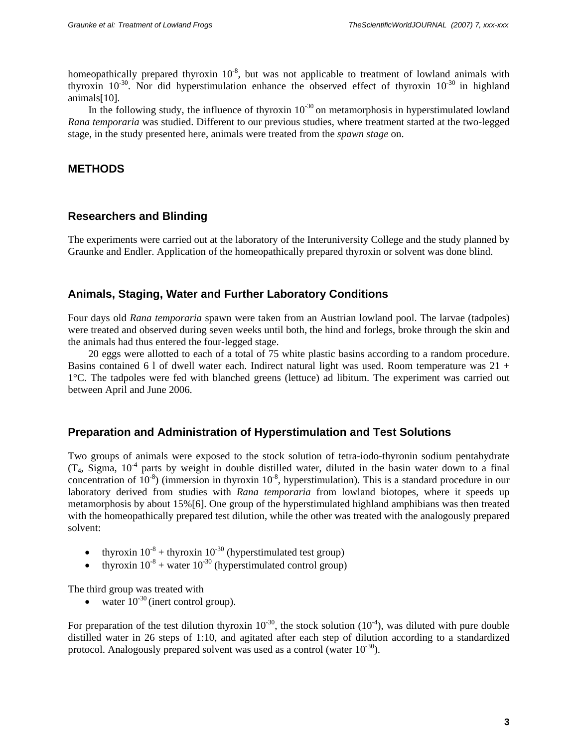homeopathically prepared thyroxin 10<sup>-8</sup>, but was not applicable to treatment of lowland animals with thyroxin  $10^{-30}$ . Nor did hyperstimulation enhance the observed effect of thyroxin  $10^{-30}$  in highland animals[10].

In the following study, the influence of thyroxin  $10^{-30}$  on metamorphosis in hyperstimulated lowland *Rana temporaria* was studied. Different to our previous studies, where treatment started at the two-legged stage, in the study presented here, animals were treated from the *spawn stage* on.

#### **METHODS**

#### **Researchers and Blinding**

The experiments were carried out at the laboratory of the Interuniversity College and the study planned by Graunke and Endler. Application of the homeopathically prepared thyroxin or solvent was done blind.

#### **Animals, Staging, Water and Further Laboratory Conditions**

Four days old *Rana temporaria* spawn were taken from an Austrian lowland pool. The larvae (tadpoles) were treated and observed during seven weeks until both, the hind and forlegs, broke through the skin and the animals had thus entered the four-legged stage.

 20 eggs were allotted to each of a total of 75 white plastic basins according to a random procedure. Basins contained 6 l of dwell water each. Indirect natural light was used. Room temperature was 21 + 1°C. The tadpoles were fed with blanched greens (lettuce) ad libitum. The experiment was carried out between April and June 2006.

#### **Preparation and Administration of Hyperstimulation and Test Solutions**

Two groups of animals were exposed to the stock solution of tetra-iodo-thyronin sodium pentahydrate  $(T_4, Sigma, 10^{-4}$  parts by weight in double distilled water, diluted in the basin water down to a final concentration of  $10^{-8}$ ) (immersion in thyroxin  $10^{-8}$ , hyperstimulation). This is a standard procedure in our laboratory derived from studies with *Rana temporaria* from lowland biotopes, where it speeds up metamorphosis by about 15%[6]. One group of the hyperstimulated highland amphibians was then treated with the homeopathically prepared test dilution, while the other was treated with the analogously prepared solvent:

- thyroxin  $10^{-8}$  + thyroxin  $10^{-30}$  (hyperstimulated test group)
- thyroxin  $10^{-8}$  + water  $10^{-30}$  (hyperstimulated control group)

The third group was treated with

• water  $10^{-30}$  (inert control group).

For preparation of the test dilution thyroxin  $10^{-30}$ , the stock solution  $(10^{-4})$ , was diluted with pure double distilled water in 26 steps of 1:10, and agitated after each step of dilution according to a standardized protocol. Analogously prepared solvent was used as a control (water  $10^{-30}$ ).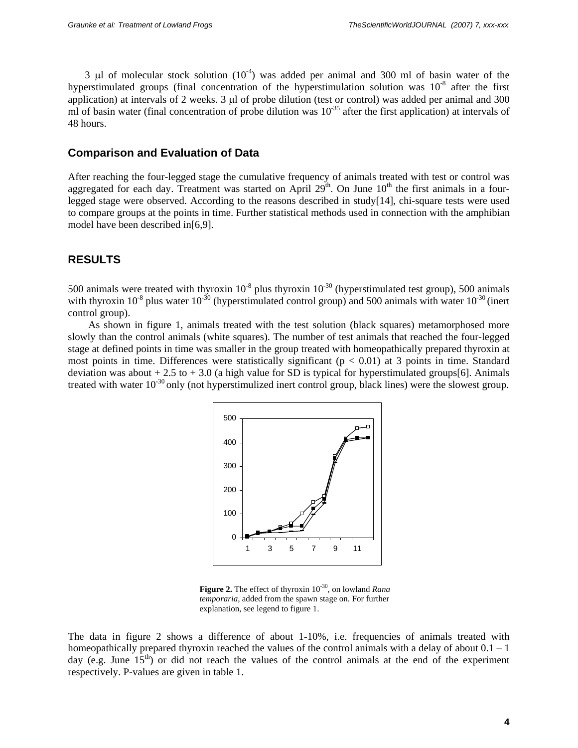3 μl of molecular stock solution  $(10^{-4})$  was added per animal and 300 ml of basin water of the hyperstimulated groups (final concentration of the hyperstimulation solution was  $10^{-8}$  after the first application) at intervals of 2 weeks. 3 μl of probe dilution (test or control) was added per animal and 300 ml of basin water (final concentration of probe dilution was  $10^{-35}$  after the first application) at intervals of 48 hours.

#### **Comparison and Evaluation of Data**

After reaching the four-legged stage the cumulative frequency of animals treated with test or control was aggregated for each day. Treatment was started on April  $29<sup>th</sup>$ . On June  $10<sup>th</sup>$  the first animals in a fourlegged stage were observed. According to the reasons described in study[14], chi-square tests were used to compare groups at the points in time. Further statistical methods used in connection with the amphibian model have been described in[6,9].

### **RESULTS**

500 animals were treated with thyroxin  $10^{-8}$  plus thyroxin  $10^{-30}$  (hyperstimulated test group), 500 animals with thyroxin  $10^{-8}$  plus water  $10^{-30}$  (hyperstimulated control group) and 500 animals with water  $10^{-30}$  (inert control group).

 As shown in figure 1, animals treated with the test solution (black squares) metamorphosed more slowly than the control animals (white squares). The number of test animals that reached the four-legged stage at defined points in time was smaller in the group treated with homeopathically prepared thyroxin at most points in time. Differences were statistically significant ( $p < 0.01$ ) at 3 points in time. Standard deviation was about  $+ 2.5$  to  $+ 3.0$  (a high value for SD is typical for hyperstimulated groups[6]. Animals treated with water  $10^{-30}$  only (not hyperstimulized inert control group, black lines) were the slowest group.



**Figure 2.** The effect of thyroxin 10<sup>-30</sup>, on lowland *Rana temporaria,* added from the spawn stage on. For further explanation, see legend to figure 1.

The data in figure 2 shows a difference of about 1-10%, i.e. frequencies of animals treated with homeopathically prepared thyroxin reached the values of the control animals with a delay of about  $0.1 - 1$ day (e.g. June  $15^{th}$ ) or did not reach the values of the control animals at the end of the experiment respectively. P-values are given in table 1.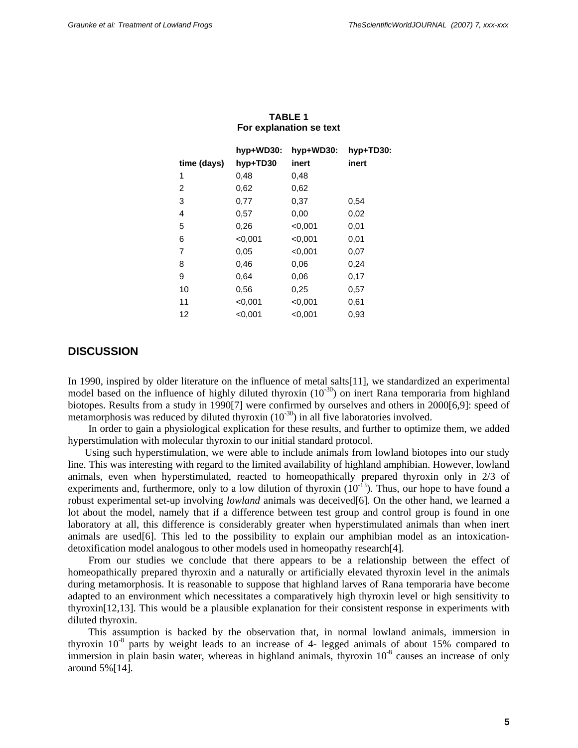|             | hyp+WD30: | hyp+WD30: | hyp+TD30: |
|-------------|-----------|-----------|-----------|
| time (days) | hyp+TD30  | inert     | inert     |
| 1           | 0,48      | 0,48      |           |
| 2           | 0,62      | 0.62      |           |
| 3           | 0,77      | 0,37      | 0.54      |
| 4           | 0,57      | 0,00      | 0,02      |
| 5           | 0,26      | < 0.001   | 0,01      |
| 6           | < 0,001   | < 0,001   | 0,01      |
| 7           | 0.05      | < 0.001   | 0.07      |
| 8           | 0.46      | 0.06      | 0,24      |
| 9           | 0.64      | 0.06      | 0,17      |
| 10          | 0.56      | 0,25      | 0,57      |
| 11          | < 0.001   | < 0.001   | 0.61      |
| 12          | < 0.001   | < 0.001   | 0,93      |

**TABLE 1 For explanation se text** 

#### **DISCUSSION**

In 1990, inspired by older literature on the influence of metal salts[11], we standardized an experimental model based on the influence of highly diluted thyroxin  $(10^{-30})$  on inert Rana temporaria from highland biotopes. Results from a study in 1990[7] were confirmed by ourselves and others in 2000[6,9]: speed of metamorphosis was reduced by diluted thyroxin  $(10^{-30})$  in all five laboratories involved.

In order to gain a physiological explication for these results, and further to optimize them, we added hyperstimulation with molecular thyroxin to our initial standard protocol.

Using such hyperstimulation, we were able to include animals from lowland biotopes into our study line. This was interesting with regard to the limited availability of highland amphibian. However, lowland animals, even when hyperstimulated, reacted to homeopathically prepared thyroxin only in 2/3 of experiments and, furthermore, only to a low dilution of thyroxin  $(10^{-13})$ . Thus, our hope to have found a robust experimental set-up involving *lowland* animals was deceived[6]. On the other hand, we learned a lot about the model, namely that if a difference between test group and control group is found in one laboratory at all, this difference is considerably greater when hyperstimulated animals than when inert animals are used[6]. This led to the possibility to explain our amphibian model as an intoxicationdetoxification model analogous to other models used in homeopathy research[4].

From our studies we conclude that there appears to be a relationship between the effect of homeopathically prepared thyroxin and a naturally or artificially elevated thyroxin level in the animals during metamorphosis. It is reasonable to suppose that highland larves of Rana temporaria have become adapted to an environment which necessitates a comparatively high thyroxin level or high sensitivity to thyroxin[12,13]. This would be a plausible explanation for their consistent response in experiments with diluted thyroxin.

 This assumption is backed by the observation that, in normal lowland animals, immersion in thyroxin  $10^{-8}$  parts by weight leads to an increase of 4- legged animals of about 15% compared to immersion in plain basin water, whereas in highland animals, thyroxin  $10^{-8}$  causes an increase of only around 5%[14].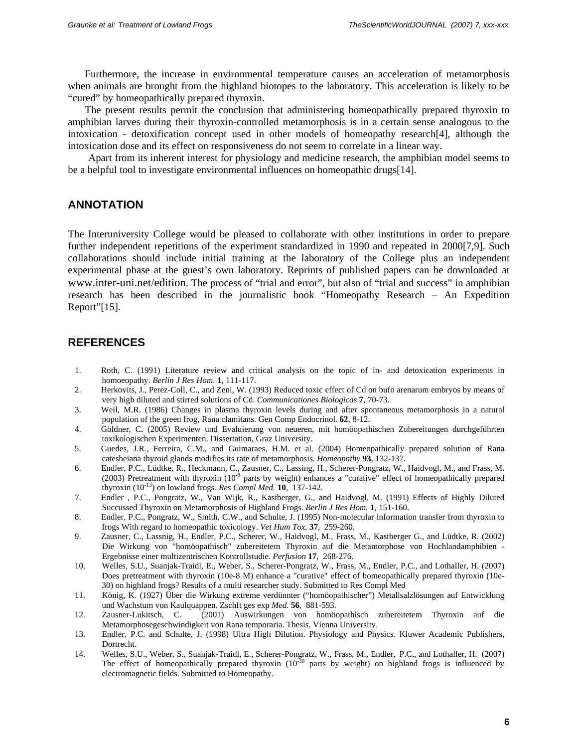Furthermore, the increase in environmental temperature causes an acceleration of metamorphosis when animals are brought from the highland biotopes to the laboratory. This acceleration is likely to be "cured" by homeopathically prepared thyroxin.

The present results permit the conclusion that administering homeopathically prepared thyroxin to amphibian larves during their thyroxin-controlled metamorphosis is in a certain sense analogous to the intoxication - detoxification concept used in other models of homeopathy research[4], although the intoxication dose and its effect on responsiveness do not seem to correlate in a linear way.

 Apart from its inherent interest for physiology and medicine research, the amphibian model seems to be a helpful tool to investigate environmental influences on homeopathic drugs[14].

#### **ANNOTATION**

The Interuniversity College would be pleased to collaborate with other institutions in order to prepare further independent repetitions of the experiment standardized in 1990 and repeated in 2000[7,9]. Such collaborations should include initial training at the laboratory of the College plus an independent experimental phase at the guest's own laboratory. Reprints of published papers can be downloaded at www.inter-uni.net/edition. The process of "trial and error", but also of "trial and success" in amphibian research has been described in the journalistic book "Homeopathy Research – An Expedition Report"[15].

### **REFERENCES**

- 1. Roth, C. (1991) Literature review and critical analysis on the topic of in- and detoxication experiments in homoeopathy. *Berlin J Res Hom*. **1**, 111-117.
- 2. Herkovits, J., Perez-Coll, C., and Zeni, W. (1993) Reduced toxic effect of Cd on bufo arenarum embryos by means of very high diluted and stirred solutions of Cd. *Communicationes Biologicas* **7**, 70-73.
- 3. Weil, M.R. (1986) Changes in plasma thyroxin levels during and after spontaneous metamorphosis in a natural population of the green frog, Rana clamitans. Gen Comp Endocrinol. **62**, 8-12.
- 4. Göldner, C. (2005) Review und Evaluierung von neueren, mit homöopathischen Zubereitungen durchgeführten toxikologischen Experimenten. Dissertation, Graz University.
- 5. Guedes, J.R., Ferreira, C.M., and Guimaraes, H.M. et al. (2004) Homeopathically prepared solution of Rana catesbeiana thyroid glands modifies its rate of metamorphosis. *Homeopathy* **93**, 132-137.
- 6. Endler, P.C., Lüdtke, R., Heckmann, C., Zausner, C., Lassing, H., Scherer-Pongratz, W., Haidvogl, M., and Frass, M. (2003) Pretreatment with thyroxin (10-8 parts by weight) enhances a "curative" effect of homeopathically prepared thyroxin (10-13) on lowland frogs. *Res Compl Med.* **10**, 137-142.
- 7. Endler , P.C., Pongratz, W., Van Wijk, R., Kastberger, G., and Haidvogl, M. (1991) Effects of Highly Diluted Succussed Thyroxin on Metamorphosis of Highland Frogs. *Berlin J Res Hom.* **1**, 151-160.
- 8. Endler, P.C., Pongratz, W., Smith, C.W., and Schulte, J. (1995) Non-molecular information transfer from thyroxin to frogs With regard to homeopathic toxicology. *Vet Hum Tox.* **37**, 259-260.
- 9. Zausner, C., Lassnig, H., Endler, P.C., Scherer, W., Haidvogl, M., Frass, M., Kastberger G., and Lüdtke, R. (2002) Die Wirkung von "homöopathisch" zubereitetem Thyroxin auf die Metamorphose von Hochlandamphibien - Ergebnisse einer multizentrischen Kontrollstudie. *Perfusion* **17**, 268-276.
- 10. Welles, S.U., Suanjak-Traidl, E., Weber, S., Scherer-Pongratz, W., Frass, M., Endler, P.C., and Lothaller, H. (2007) Does pretreatment with thyroxin (10e-8 M) enhance a "curative" effect of homeopathically prepared thyroxin (10e-30) on highland frogs? Results of a multi researcher study. Submitted to Res Compl Med
- 11. König, K. (1927) Über die Wirkung extreme verdünnter ("homöopathischer") Metallsalzlösungen auf Entwicklung und Wachstum von Kaulquappen. Zschft ges exp *Med.* **56**, 881-593.
- 12. Zausner-Lukitsch, C. (2001) Auswirkungen von homöopathisch zubereitetem Thyroxin auf die Metamorphosegeschwindigkeit von Rana temporaria. Thesis, Vienna University.
- 13. Endler, P.C. and Schulte, J. (1998) Ultra High Dilution. Physiology and Physics. Kluwer Academic Publishers, Dortrecht.
- 14. Welles, S.U., Weber, S., Suanjak-Traidl, E., Scherer-Pongratz, W., Frass, M., Endler, P.C., and Lothaller, H. (2007) The effect of homeopathically prepared thyroxin  $(10^{-30}$  parts by weight) on highland frogs is influenced by electromagnetic fields. Submitted to Homeopathy.